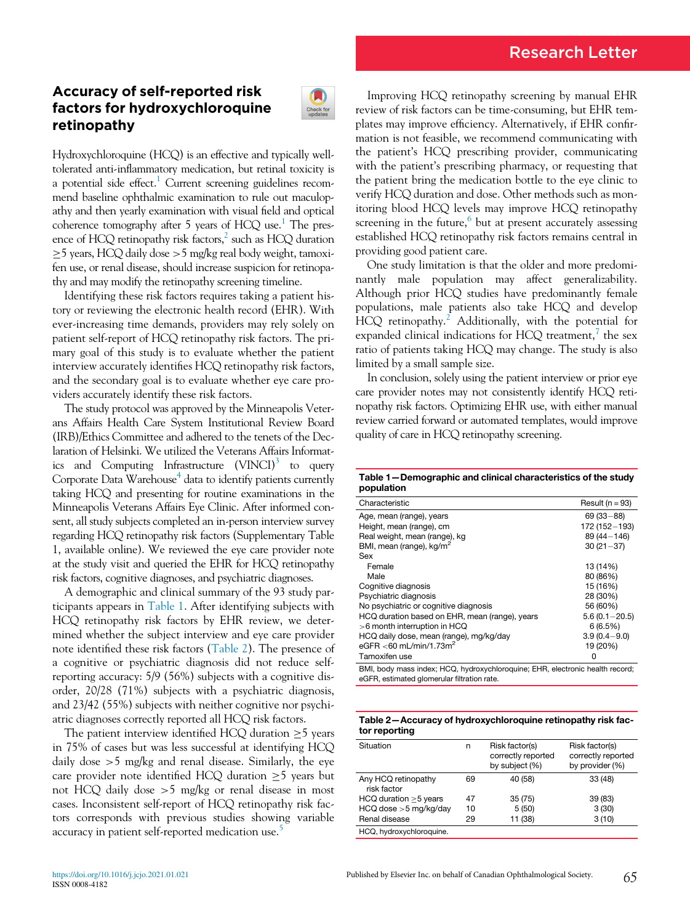# Research Letter

## Accuracy of self-reported risk factors for hydroxychloroquine retinopathy



Hydroxychloroquine (HCQ) is an effective and typically welltolerated anti-inflammatory medication, but retinal toxicity is a potential side effect.<sup>[1](#page-1-0)</sup> Current screening guidelines recommend baseline ophthalmic examination to rule out maculopathy and then yearly examination with visual field and optical coherence tomography after 5 years of  $HCO$  use.<sup>[1](#page-1-0)</sup> The presence of HCQ retinopathy risk factors, $^2$  such as HCQ duration  $\geq$ 5 years, HCQ daily dose  $>$  5 mg/kg real body weight, tamoxifen use, or renal disease, should increase suspicion for retinopathy and may modify the retinopathy screening timeline.

Identifying these risk factors requires taking a patient history or reviewing the electronic health record (EHR). With ever-increasing time demands, providers may rely solely on patient self-report of HCQ retinopathy risk factors. The primary goal of this study is to evaluate whether the patient interview accurately identifies HCQ retinopathy risk factors, and the secondary goal is to evaluate whether eye care providers accurately identify these risk factors.

<span id="page-0-0"></span>The study protocol was approved by the Minneapolis Veterans Affairs Health Care System Institutional Review Board (IRB)/Ethics Committee and adhered to the tenets of the Declaration of Helsinki. We utilized the Veterans Affairs Informatics and Computing Infrastructure  $(VINCI)^3$  to query Corporate Data Warehouse<sup>[4](#page-1-3)</sup> data to identify patients currently taking HCQ and presenting for routine examinations in the Minneapolis Veterans Affairs Eye Clinic. After informed consent, all study subjects completed an in-person interview survey regarding HCQ retinopathy risk factors (Supplementary Table 1, available online). We reviewed the eye care provider note at the study visit and queried the EHR for HCQ retinopathy risk factors, cognitive diagnoses, and psychiatric diagnoses.

A demographic and clinical summary of the 93 study participants appears in [Table 1](#page-0-0). After identifying subjects with HCQ retinopathy risk factors by EHR review, we determined whether the subject interview and eye care provider note identified these risk factors [\(Table 2](#page-0-1)). The presence of a cognitive or psychiatric diagnosis did not reduce selfreporting accuracy: 5/9 (56%) subjects with a cognitive disorder, 20/28 (71%) subjects with a psychiatric diagnosis, and 23/42 (55%) subjects with neither cognitive nor psychiatric diagnoses correctly reported all HCQ risk factors.

<span id="page-0-1"></span>The patient interview identified HCQ duration  $\geq$ 5 years in 75% of cases but was less successful at identifying HCQ daily dose  $>5$  mg/kg and renal disease. Similarly, the eye care provider note identified HCQ duration  $\geq$ 5 years but not HCQ daily dose >5 mg/kg or renal disease in most cases. Inconsistent self-report of HCQ retinopathy risk factors corresponds with previous studies showing variable accuracy in patient self-reported medication use.<sup>[5](#page-1-4)</sup>

Improving HCQ retinopathy screening by manual EHR review of risk factors can be time-consuming, but EHR templates may improve efficiency. Alternatively, if EHR confirmation is not feasible, we recommend communicating with the patient's HCQ prescribing provider, communicating with the patient's prescribing pharmacy, or requesting that the patient bring the medication bottle to the eye clinic to verify HCQ duration and dose. Other methods such as monitoring blood HCQ levels may improve HCQ retinopathy screening in the future, $6$  but at present accurately assessing established HCQ retinopathy risk factors remains central in providing good patient care.

One study limitation is that the older and more predominantly male population may affect generalizability. Although prior HCQ studies have predominantly female populations, male patients also take HCQ and develop  $H CQ$  retinopathy.<sup>[2](#page-1-1)</sup> Additionally, with the potential for expanded clinical indications for HCQ treatment,<sup> $\ell$ </sup> the sex ratio of patients taking HCQ may change. The study is also limited by a small sample size.

In conclusion, solely using the patient interview or prior eye care provider notes may not consistently identify HCQ retinopathy risk factors. Optimizing EHR use, with either manual review carried forward or automated templates, would improve quality of care in HCQ retinopathy screening.

Table 1—Demographic and clinical characteristics of the study population

| Characteristic                                                                                                                                                                                                                      | Result $(n = 93)$ |  |  |  |
|-------------------------------------------------------------------------------------------------------------------------------------------------------------------------------------------------------------------------------------|-------------------|--|--|--|
| Age, mean (range), years                                                                                                                                                                                                            | $69(33 - 88)$     |  |  |  |
| Height, mean (range), cm                                                                                                                                                                                                            | 172 (152-193)     |  |  |  |
| Real weight, mean (range), kg                                                                                                                                                                                                       | 89 (44 - 146)     |  |  |  |
| BMI, mean (range), kg/m <sup>2</sup>                                                                                                                                                                                                | $30(21-37)$       |  |  |  |
| Sex                                                                                                                                                                                                                                 |                   |  |  |  |
| Female                                                                                                                                                                                                                              | 13 (14%)          |  |  |  |
| Male                                                                                                                                                                                                                                | 80 (86%)          |  |  |  |
| Cognitive diagnosis                                                                                                                                                                                                                 | 15 (16%)          |  |  |  |
| Psychiatric diagnosis                                                                                                                                                                                                               | 28 (30%)          |  |  |  |
| No psychiatric or cognitive diagnosis                                                                                                                                                                                               | 56 (60%)          |  |  |  |
| HCQ duration based on EHR, mean (range), years                                                                                                                                                                                      | $5.6(0.1 - 20.5)$ |  |  |  |
| >6 month interruption in HCQ                                                                                                                                                                                                        | 6(6.5%)           |  |  |  |
| HCQ daily dose, mean (range), mg/kg/day                                                                                                                                                                                             | $3.9(0.4 - 9.0)$  |  |  |  |
| eGFR <60 mL/min/1.73m <sup>2</sup>                                                                                                                                                                                                  | 19 (20%)          |  |  |  |
| Tamoxifen use                                                                                                                                                                                                                       | 0                 |  |  |  |
| <b>DMI</b> I all the studies in the contract the contract of the contract of the contract of the contract of the contract of the contract of the contract of the contract of the contract of the contract of the contract of the co |                   |  |  |  |

BMI, body mass index; HCQ, hydroxychloroquine; EHR, electronic health record; eGFR, estimated glomerular filtration rate.

| Table 2-Accuracy of hydroxychloroquine retinopathy risk fac- |  |
|--------------------------------------------------------------|--|
| tor reporting                                                |  |

| Situation                          | n  | Risk factor(s)<br>correctly reported<br>by subject (%) | Risk factor(s)<br>correctly reported<br>by provider (%) |
|------------------------------------|----|--------------------------------------------------------|---------------------------------------------------------|
| Any HCQ retinopathy<br>risk factor | 69 | 40 (58)                                                | 33(48)                                                  |
| HCQ duration $>5$ years            | 47 | 35(75)                                                 | 39 (83)                                                 |
| $H CQ$ dose $>5$ mg/kg/day         | 10 | 5(50)                                                  | 3(30)                                                   |
| Renal disease                      | 29 | 11 (38)                                                | 3(10)                                                   |
| HCQ, hydroxychloroquine.           |    |                                                        |                                                         |